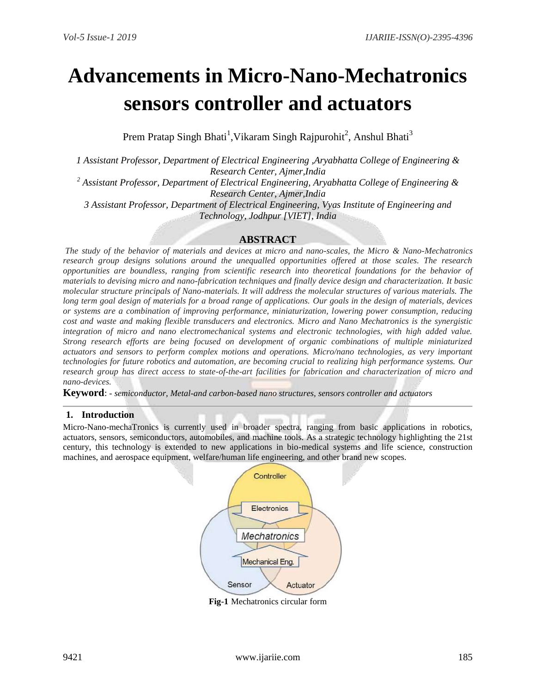# **Advancements in Micro-Nano-Mechatronics sensors controller and actuators**

Prem Pratap Singh Bhati<sup>1</sup>, Vikaram Singh Rajpurohit<sup>2</sup>, Anshul Bhati<sup>3</sup>

*1 Assistant Professor, Department of Electrical Engineering ,Aryabhatta College of Engineering & Research Center, Ajmer,India*

*<sup>2</sup> Assistant Professor, Department of Electrical Engineering, Aryabhatta College of Engineering & Research Center, Ajmer,India*

*3 Assistant Professor, Department of Electrical Engineering, Vyas Institute of Engineering and Technology, Jodhpur [VIET], India*

# **ABSTRACT**

*The study of the behavior of materials and devices at micro and nano-scales, the Micro & Nano-Mechatronics research group designs solutions around the unequalled opportunities offered at those scales. The research opportunities are boundless, ranging from scientific research into theoretical foundations for the behavior of materials to devising micro and nano-fabrication techniques and finally device design and characterization. It basic molecular structure principals of Nano-materials. It will address the molecular structures of various materials. The long term goal design of materials for a broad range of applications. Our goals in the design of materials, devices or systems are a combination of improving performance, miniaturization, lowering power consumption, reducing cost and waste and making flexible transducers and electronics. Micro and Nano Mechatronics is the synergistic integration of micro and nano electromechanical systems and electronic technologies, with high added value. Strong research efforts are being focused on development of organic combinations of multiple miniaturized actuators and sensors to perform complex motions and operations. Micro/nano technologies, as very important technologies for future robotics and automation, are becoming crucial to realizing high performance systems. Our research group has direct access to state-of-the-art facilities for fabrication and characterization of micro and nano-devices.*

**Keyword**: *- semiconductor, Metal-and carbon-based nano structures, sensors controller and actuators*

### **1. Introduction**

Micro-Nano-mechaTronics is currently used in broader spectra, ranging from basic applications in robotics, actuators, sensors, semiconductors, automobiles, and machine tools. As a strategic technology highlighting the 21st century, this technology is extended to new applications in bio-medical systems and life science, construction machines, and aerospace equipment, welfare/human life engineering, and other brand new scopes.



**Fig-1** Mechatronics circular form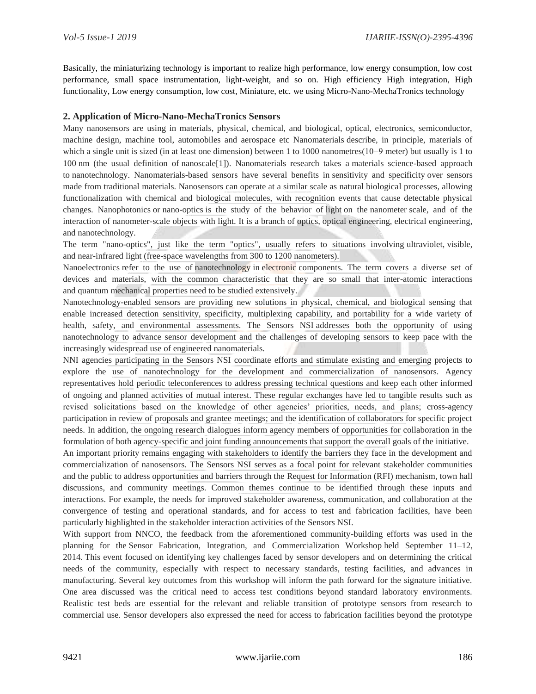Basically, the miniaturizing technology is important to realize high performance, low energy consumption, low cost performance, small space instrumentation, light-weight, and so on. High efficiency High integration, High functionality, Low energy consumption, low cost, Miniature, etc. we using Micro-Nano-MechaTronics technology

## **2. Application of Micro-Nano-MechaTronics Sensors**

Many nanosensors are using in materials, physical, chemical, and biological, optical, electronics, semiconductor, machine design, machine tool, automobiles and aerospace etc Nanomaterials describe, in principle, materials of which a single unit is sized (in at least one dimension) between 1 to 1000 [nanometres\(](https://en.wikipedia.org/wiki/Nanometre)10−9 meter) but usually is 1 to 100 nm (the usual definition of [nanoscale\[1\]\)](https://en.wikipedia.org/wiki/Nanoscale). Nanomaterials research takes a [materials science-](https://en.wikipedia.org/wiki/Materials_science)based approach to [nanotechnology.](https://en.wikipedia.org/wiki/Nanotechnology) Nanomaterials-based sensors have several benefits in [sensitivity and specificity](https://en.wikipedia.org/wiki/Sensitivity_and_specificity) over sensors made from traditional materials. Nanosensors can operate at a similar scale as natural biological processes, allowing functionalization with chemical and biological molecules, with recognition events that cause detectable physical changes. Nanophotonics or nano-optics is the study of the behavior of [light](https://en.wikipedia.org/wiki/Light) on the [nanometer](https://en.wikipedia.org/wiki/Nanometer) scale, and of the interaction of nanometer-scale objects with light. It is a branch of [optics,](https://en.wikipedia.org/wiki/Optics) [optical engineering,](https://en.wikipedia.org/wiki/Optical_engineering) [electrical engineering,](https://en.wikipedia.org/wiki/Electrical_engineering) and [nanotechnology.](https://en.wikipedia.org/wiki/Nanotechnology)

The term "nano-optics", just like the term "optics", usually refers to situations involving [ultraviolet,](https://en.wikipedia.org/wiki/Ultraviolet) [visible,](https://en.wikipedia.org/wiki/Visible_light) and [near-infrared](https://en.wikipedia.org/wiki/Near-infrared) light (free-space wavelengths from 300 to 1200 nanometers).

Nanoelectronics refer to the use of [nanotechnology](https://en.wikipedia.org/wiki/Nanotechnology) in [electronic](https://en.wikipedia.org/wiki/Electronics) components. The term covers a diverse set of devices and materials, with the common characteristic that they are so small that inter-atomic interactions and [quantum mechanical](https://en.wikipedia.org/wiki/Quantum_mechanics) properties need to be studied extensively.

Nanotechnology-enabled sensors are providing new solutions in physical, chemical, and biological sensing that enable increased detection sensitivity, specificity, multiplexing capability, and portability for a wide variety of health, safety, and environmental assessments. The Sensors NSI addresses both the opportunity of using nanotechnology to advance sensor development and the challenges of developing sensors to keep pace with the increasingly widespread use of engineered nanomaterials.

NNI agencies participating in the Sensors NSI coordinate efforts and stimulate existing and emerging projects to explore the use of nanotechnology for the development and commercialization of nanosensors. Agency representatives hold periodic teleconferences to address pressing technical questions and keep each other informed of ongoing and planned activities of mutual interest. These regular exchanges have led to tangible results such as revised solicitations based on the knowledge of other agencies' priorities, needs, and plans; cross-agency participation in review of proposals and grantee meetings; and the identification of collaborators for specific project needs. In addition, the ongoing research dialogues inform agency members of opportunities for collaboration in the formulation of both agency-specific and joint funding announcements that support the overall goals of the initiative.

An important priority remains engaging with stakeholders to identify the barriers they face in the development and commercialization of nanosensors. The Sensors NSI serves as a focal point for relevant stakeholder communities and the public to address opportunities and barriers through the [Request for Information \(RFI\) mechanism,](https://www.federalregister.gov/articles/2013/10/01/2013-23916/request-for-information-nni-nanotechnology-for-sensors-and-sensors-for-nanotechnology-signature) town hall discussions, and community meetings. Common themes continue to be identified through these inputs and interactions. For example, the needs for improved stakeholder awareness, communication, and collaboration at the convergence of testing and operational standards, and for access to test and fabrication facilities, have been particularly highlighted in the stakeholder interaction activities of the Sensors NSI.

With support from NNCO, the feedback from the aforementioned community-building efforts was used in the planning for the [Sensor Fabrication, Integration, and Commercialization Workshop](http://www.nano.gov/2014SensorsWorkshop) held September 11–12, 2014. This event focused on identifying key challenges faced by sensor developers and on determining the critical needs of the community, especially with respect to necessary standards, testing facilities, and advances in manufacturing. Several key outcomes from this workshop will inform the path forward for the signature initiative. One area discussed was the critical need to access test conditions beyond standard laboratory environments. Realistic test beds are essential for the relevant and reliable transition of prototype sensors from research to commercial use. Sensor developers also expressed the need for access to fabrication facilities beyond the prototype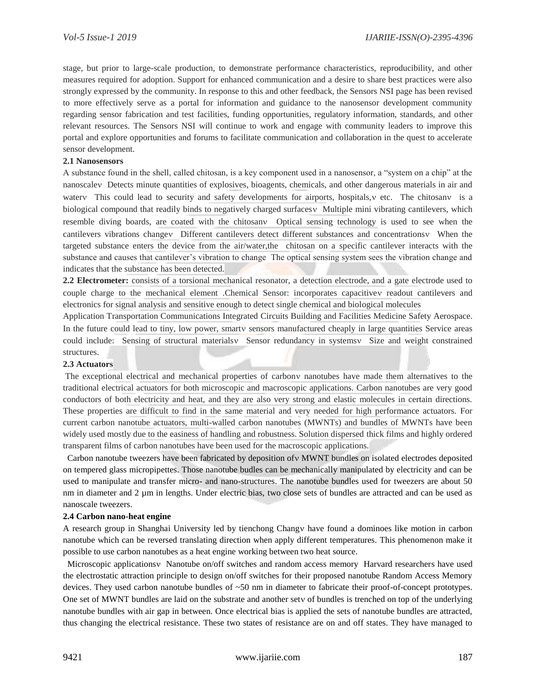stage, but prior to large-scale production, to demonstrate performance characteristics, reproducibility, and other measures required for adoption. Support for enhanced communication and a desire to share best practices were also strongly expressed by the community. In response to this and other feedback, the Sensors NSI page has been revised to more effectively serve as a portal for information and guidance to the nanosensor development community regarding sensor fabrication and test facilities, funding opportunities, regulatory information, standards, and other relevant resources. The Sensors NSI will continue to work and engage with community leaders to improve this portal and explore opportunities and forums to facilitate communication and collaboration in the quest to accelerate sensor development.

#### **2.1 Nanosensors**

A substance found in the shell, called chitosan, is a key component used in a nanosensor, a "system on a chip" at the nanoscale V Detects minute quantities of explosives, bioagents, chemicals, and other dangerous materials in air and water This could lead to security and safety developments for airports, hospitals, v etc. The chitosan v is a biological compound that readily binds to negatively charged surfaces v Multiple mini vibrating cantilevers, which resemble diving boards, are coated with the chitosany Optical sensing technology is used to see when the cantilevers vibrations changev Different cantilevers detect different substances and concentrations w When the targeted substance enters the device from the air/water,the chitosan on a specific cantilever interacts with the substance and causes that cantilever's vibration to change The optical sensing system sees the vibration change and indicates that the substance has been detected.

**2.2 Electrometer:** consists of a torsional mechanical resonator, a detection electrode, and a gate electrode used to couple charge to the mechanical element .Chemical Sensor: incorporates capacitive readout cantilevers and electronics for signal analysis and sensitive enough to detect single chemical and biological molecules

Application Transportation Communications Integrated Circuits Building and Facilities Medicine Safety Aerospace. In the future could lead to tiny, low power, smarty sensors manufactured cheaply in large quantities Service areas could include: Sensing of structural materials Sensor redundancy in systems Size and weight constrained structures.

#### **2.3 Actuators**

The exceptional electrical and mechanical properties of carbony nanotubes have made them alternatives to the traditional electrical actuators for both microscopic and macroscopic applications. Carbon nanotubes are very good conductors of both electricity and heat, and they are also very strong and elastic molecules in certain directions. These properties are difficult to find in the same material and very needed for high performance actuators. For current carbon nanotube actuators, multi-walled carbon nanotubes (MWNTs) and bundles of MWNTs have been widely used mostly due to the easiness of handling and robustness. Solution dispersed thick films and highly ordered transparent films of carbon nanotubes have been used for the macroscopic applications.

Carbon nanotube tweezers have been fabricated by deposition of v MWNT bundles on isolated electrodes deposited on tempered glass micropipettes. Those nanotube budles can be mechanically manipulated by electricity and can be used to manipulate and transfer micro- and nano-structures. The nanotube bundles used for tweezers are about 50 nm in diameter and 2 µm in lengths. Under electric bias, two close sets of bundles are attracted and can be used as nanoscale tweezers.

#### **2.4 Carbon nano-heat engine**

A research group in Shanghai University led by tienchong Changv have found a dominoes like motion in carbon nanotube which can be reversed translating direction when apply different temperatures. This phenomenon make it possible to use carbon nanotubes as a heat engine working between two heat source.

Microscopic applications v Nanotube on/off switches and random access memory Harvard researchers have used the electrostatic attraction principle to design on/off switches for their proposed nanotube Random Access Memory devices. They used carbon nanotube bundles of ~50 nm in diameter to fabricate their proof-of-concept prototypes. One set of MWNT bundles are laid on the substrate and another sety of bundles is trenched on top of the underlying nanotube bundles with air gap in between. Once electrical bias is applied the sets of nanotube bundles are attracted, thus changing the electrical resistance. These two states of resistance are on and off states. They have managed to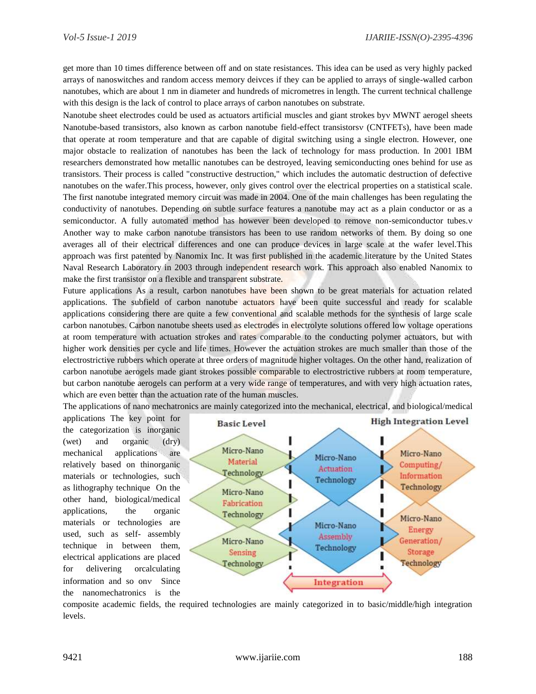get more than 10 times difference between off and on state resistances. This idea can be used as very highly packed arrays of nanoswitches and random access memory deivces if they can be applied to arrays of single-walled carbon nanotubes, which are about 1 nm in diameter and hundreds of micrometres in length. The current technical challenge with this design is the lack of control to place arrays of carbon nanotubes on substrate.

Nanotube sheet electrodes could be used as actuators artificial muscles and giant strokes by WWNT aerogel sheets Nanotube-based transistors, also known as carbon nanotube field-effect transistors (CNTFETs), have been made that operate at room temperature and that are capable of digital switching using a single electron. However, one major obstacle to realization of nanotubes has been the lack of technology for mass production. In 2001 IBM researchers demonstrated how metallic nanotubes can be destroyed, leaving semiconducting ones behind for use as transistors. Their process is called "constructive destruction," which includes the automatic destruction of defective nanotubes on the wafer.This process, however, only gives control over the electrical properties on a statistical scale. The first nanotube integrated memory circuit was made in 2004. One of the main challenges has been regulating the conductivity of nanotubes. Depending on subtle surface features a nanotube may act as a plain conductor or as a semiconductor. A fully automated method has however been developed to remove non-semiconductor tubes.v Another way to make carbon nanotube transistors has been to use random networks of them. By doing so one averages all of their electrical differences and one can produce devices in large scale at the wafer level.This approach was first patented by Nanomix Inc. It was first published in the academic literature by the United States Naval Research Laboratory in 2003 through independent research work. This approach also enabled Nanomix to make the first transistor on a flexible and transparent substrate.

Future applications As a result, carbon nanotubes have been shown to be great materials for actuation related applications. The subfield of carbon nanotube actuators have been quite successful and ready for scalable applications considering there are quite a few conventional and scalable methods for the synthesis of large scale carbon nanotubes. Carbon nanotube sheets used as electrodes in electrolyte solutions offered low voltage operations at room temperature with actuation strokes and rates comparable to the conducting polymer actuators, but with higher work densities per cycle and life times. However the actuation strokes are much smaller than those of the electrostrictive rubbers which operate at three orders of magnitude higher voltages. On the other hand, realization of carbon nanotube aerogels made giant strokes possible comparable to electrostrictive rubbers at room temperature, but carbon nanotube aerogels can perform at a very wide range of temperatures, and with very high actuation rates, which are even better than the actuation rate of the human muscles.

The applications of nano mechatronics are mainly categorized into the mechanical, electrical, and biological/medical

applications The key point for the categorization is inorganic (wet) and organic (dry) mechanical applications are relatively based on thinorganic materials or technologies, such as lithography technique On the other hand, biological/medical applications, the organic materials or technologies are used, such as self- assembly technique in between them, electrical applications are placed for delivering orcalculating information and so ony Since the nanomechatronics is the



composite academic fields, the required technologies are mainly categorized in to basic/middle/high integration levels.